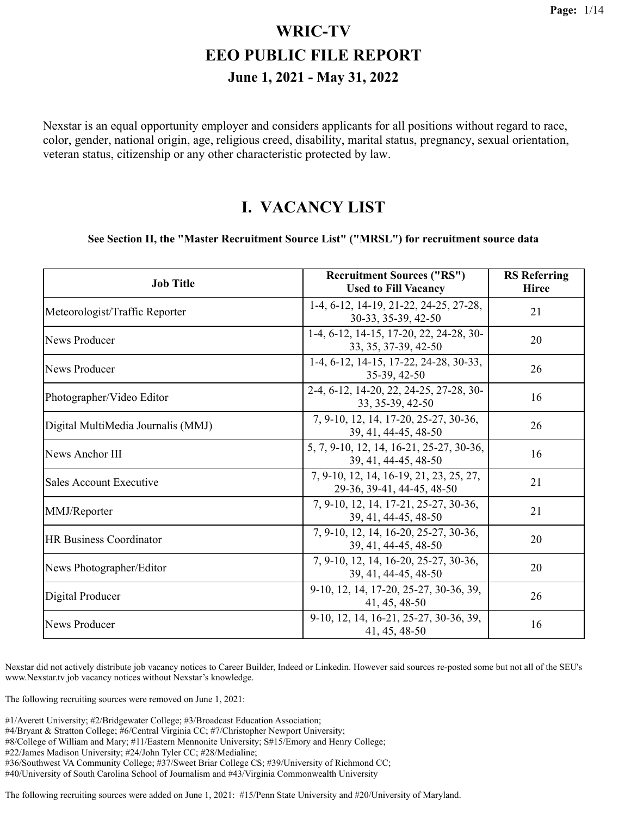Nexstar is an equal opportunity employer and considers applicants for all positions without regard to race, color, gender, national origin, age, religious creed, disability, marital status, pregnancy, sexual orientation, veteran status, citizenship or any other characteristic protected by law.

#### **I. VACANCY LIST**

#### **See Section II, the "Master Recruitment Source List" ("MRSL") for recruitment source data**

| <b>Job Title</b>                   | <b>Recruitment Sources ("RS")</b><br><b>Used to Fill Vacancy</b>      | <b>RS</b> Referring<br><b>Hiree</b> |
|------------------------------------|-----------------------------------------------------------------------|-------------------------------------|
| Meteorologist/Traffic Reporter     | 1-4, 6-12, 14-19, 21-22, 24-25, 27-28,<br>30-33, 35-39, 42-50         | 21                                  |
| News Producer                      | 1-4, 6-12, 14-15, 17-20, 22, 24-28, 30-<br>33, 35, 37-39, 42-50       | 20                                  |
| News Producer                      | 1-4, 6-12, 14-15, 17-22, 24-28, 30-33,<br>35-39, 42-50                | 26                                  |
| Photographer/Video Editor          | 2-4, 6-12, 14-20, 22, 24-25, 27-28, 30-<br>33, 35-39, 42-50           | 16                                  |
| Digital MultiMedia Journalis (MMJ) | 7, 9-10, 12, 14, 17-20, 25-27, 30-36,<br>39, 41, 44-45, 48-50         | 26                                  |
| News Anchor III                    | 5, 7, 9-10, 12, 14, 16-21, 25-27, 30-36,<br>39, 41, 44-45, 48-50      | 16                                  |
| Sales Account Executive            | 7, 9-10, 12, 14, 16-19, 21, 23, 25, 27,<br>29-36, 39-41, 44-45, 48-50 | 21                                  |
| MMJ/Reporter                       | 7, 9-10, 12, 14, 17-21, 25-27, 30-36,<br>39, 41, 44-45, 48-50         | 21                                  |
| <b>HR Business Coordinator</b>     | 7, 9-10, 12, 14, 16-20, 25-27, 30-36,<br>39, 41, 44-45, 48-50         | 20                                  |
| News Photographer/Editor           | 7, 9-10, 12, 14, 16-20, 25-27, 30-36,<br>39, 41, 44-45, 48-50         | 20                                  |
| Digital Producer                   | 9-10, 12, 14, 17-20, 25-27, 30-36, 39,<br>41, 45, 48-50               | 26                                  |
| News Producer                      | 9-10, 12, 14, 16-21, 25-27, 30-36, 39,<br>41, 45, 48-50               | 16                                  |

Nexstar did not actively distribute job vacancy notices to Career Builder, Indeed or Linkedin. However said sources re-posted some but not all of the SEU's www.Nexstar.tv job vacancy notices without Nexstar's knowledge.

The following recruiting sources were removed on June 1, 2021:

- #4/Bryant & Stratton College; #6/Central Virginia CC; #7/Christopher Newport University;
- #8/College of William and Mary; #11/Eastern Mennonite University; S#15/Emory and Henry College;
- #22/James Madison University; #24/John Tyler CC; #28/Medialine;
- #36/Southwest VA Community College; #37/Sweet Briar College CS; #39/University of Richmond CC;
- #40/University of South Carolina School of Journalism and #43/Virginia Commonwealth University

The following recruiting sources were added on June 1, 2021: #15/Penn State University and #20/University of Maryland.

<sup>#1/</sup>Averett University; #2/Bridgewater College; #3/Broadcast Education Association;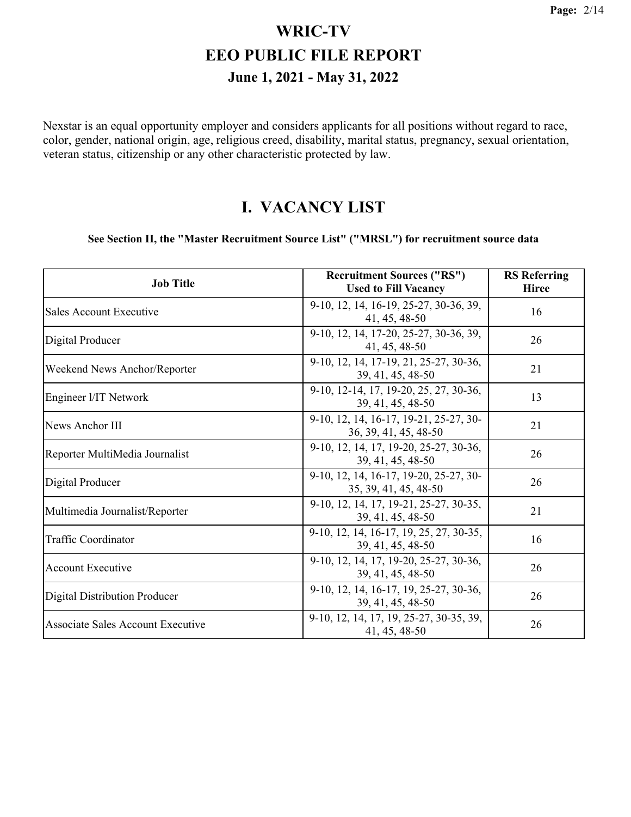Nexstar is an equal opportunity employer and considers applicants for all positions without regard to race, color, gender, national origin, age, religious creed, disability, marital status, pregnancy, sexual orientation, veteran status, citizenship or any other characteristic protected by law.

#### **I. VACANCY LIST**

#### **See Section II, the "Master Recruitment Source List" ("MRSL") for recruitment source data**

| <b>Job Title</b>                     | <b>Recruitment Sources ("RS")</b><br><b>Used to Fill Vacancy</b> | <b>RS</b> Referring<br><b>Hiree</b> |
|--------------------------------------|------------------------------------------------------------------|-------------------------------------|
| Sales Account Executive              | 9-10, 12, 14, 16-19, 25-27, 30-36, 39,<br>41, 45, 48-50          | 16                                  |
| Digital Producer                     | 9-10, 12, 14, 17-20, 25-27, 30-36, 39,<br>41, 45, 48-50          | 26                                  |
| Weekend News Anchor/Reporter         | 9-10, 12, 14, 17-19, 21, 25-27, 30-36,<br>39, 41, 45, 48-50      | 21                                  |
| Engineer I/IT Network                | 9-10, 12-14, 17, 19-20, 25, 27, 30-36,<br>39, 41, 45, 48-50      | 13                                  |
| News Anchor III                      | 9-10, 12, 14, 16-17, 19-21, 25-27, 30-<br>36, 39, 41, 45, 48-50  | 21                                  |
| Reporter MultiMedia Journalist       | 9-10, 12, 14, 17, 19-20, 25-27, 30-36,<br>39, 41, 45, 48-50      | 26                                  |
| Digital Producer                     | 9-10, 12, 14, 16-17, 19-20, 25-27, 30-<br>35, 39, 41, 45, 48-50  | 26                                  |
| Multimedia Journalist/Reporter       | 9-10, 12, 14, 17, 19-21, 25-27, 30-35,<br>39, 41, 45, 48-50      | 21                                  |
| Traffic Coordinator                  | 9-10, 12, 14, 16-17, 19, 25, 27, 30-35,<br>39, 41, 45, 48-50     | 16                                  |
| <b>Account Executive</b>             | 9-10, 12, 14, 17, 19-20, 25-27, 30-36,<br>39, 41, 45, 48-50      | 26                                  |
| <b>Digital Distribution Producer</b> | 9-10, 12, 14, 16-17, 19, 25-27, 30-36,<br>39, 41, 45, 48-50      | 26                                  |
| Associate Sales Account Executive    | 9-10, 12, 14, 17, 19, 25-27, 30-35, 39,<br>41, 45, 48-50         | 26                                  |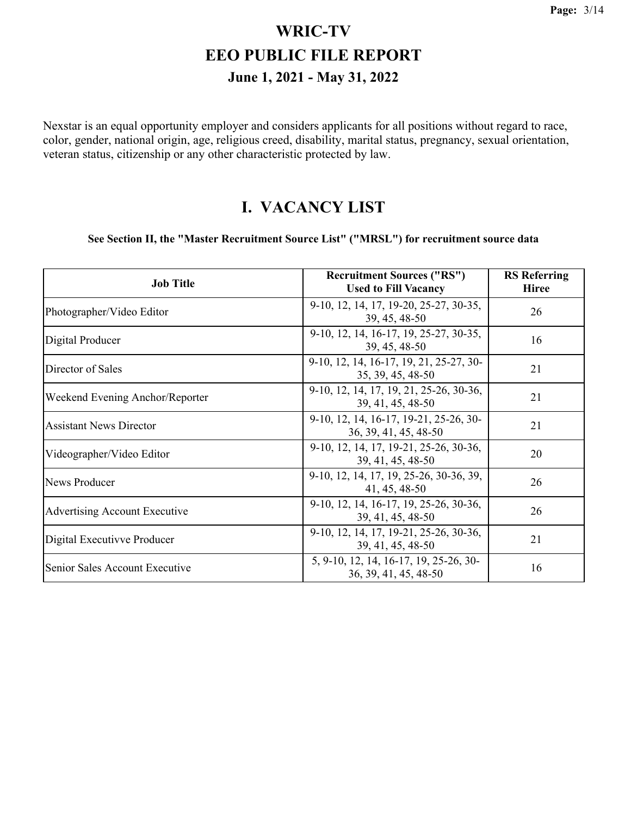Nexstar is an equal opportunity employer and considers applicants for all positions without regard to race, color, gender, national origin, age, religious creed, disability, marital status, pregnancy, sexual orientation, veteran status, citizenship or any other characteristic protected by law.

#### **I. VACANCY LIST**

#### **See Section II, the "Master Recruitment Source List" ("MRSL") for recruitment source data**

| <b>Job Title</b>                     | <b>Recruitment Sources ("RS")</b><br><b>Used to Fill Vacancy</b> | <b>RS</b> Referring<br><b>Hiree</b> |
|--------------------------------------|------------------------------------------------------------------|-------------------------------------|
| Photographer/Video Editor            | 9-10, 12, 14, 17, 19-20, 25-27, 30-35,<br>39, 45, 48-50          | 26                                  |
| Digital Producer                     | 9-10, 12, 14, 16-17, 19, 25-27, 30-35,<br>39, 45, 48-50          | 16                                  |
| Director of Sales                    | 9-10, 12, 14, 16-17, 19, 21, 25-27, 30-<br>35, 39, 45, 48-50     | 21                                  |
| Weekend Evening Anchor/Reporter      | 9-10, 12, 14, 17, 19, 21, 25-26, 30-36,<br>39, 41, 45, 48-50     | 21                                  |
| <b>Assistant News Director</b>       | 9-10, 12, 14, 16-17, 19-21, 25-26, 30-<br>36, 39, 41, 45, 48-50  | 21                                  |
| Videographer/Video Editor            | 9-10, 12, 14, 17, 19-21, 25-26, 30-36,<br>39, 41, 45, 48-50      | 20                                  |
| News Producer                        | 9-10, 12, 14, 17, 19, 25-26, 30-36, 39,<br>41, 45, 48-50         | 26                                  |
| <b>Advertising Account Executive</b> | 9-10, 12, 14, 16-17, 19, 25-26, 30-36,<br>39, 41, 45, 48-50      | 26                                  |
| Digital Executivve Producer          | 9-10, 12, 14, 17, 19-21, 25-26, 30-36,<br>39, 41, 45, 48-50      | 21                                  |
| Senior Sales Account Executive       | 5, 9-10, 12, 14, 16-17, 19, 25-26, 30-<br>36, 39, 41, 45, 48-50  | 16                                  |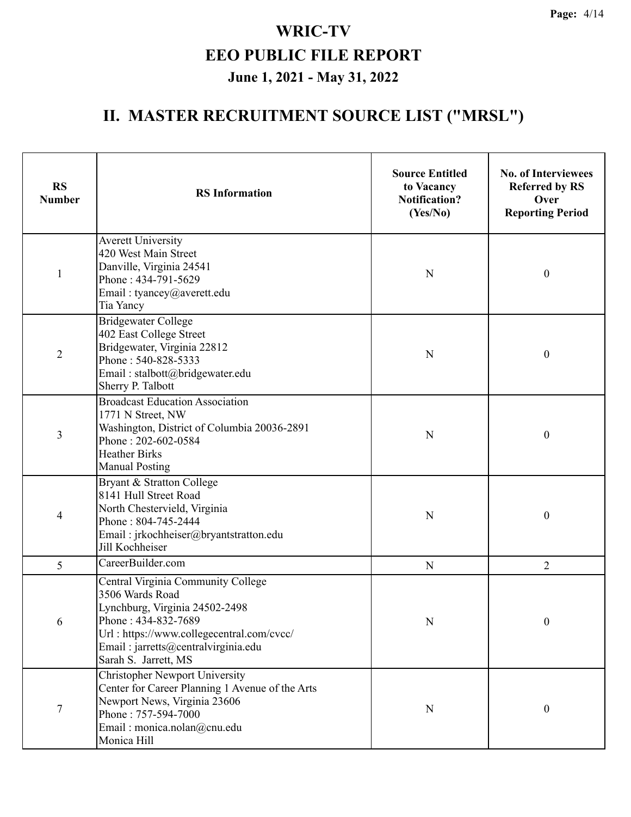| <b>RS</b><br><b>Number</b> | <b>RS</b> Information                                                                                                                                                                                                      | <b>Source Entitled</b><br>to Vacancy<br><b>Notification?</b><br>(Yes/No) | <b>No. of Interviewees</b><br><b>Referred by RS</b><br>Over<br><b>Reporting Period</b> |
|----------------------------|----------------------------------------------------------------------------------------------------------------------------------------------------------------------------------------------------------------------------|--------------------------------------------------------------------------|----------------------------------------------------------------------------------------|
| 1                          | <b>Averett University</b><br>420 West Main Street<br>Danville, Virginia 24541<br>Phone: 434-791-5629<br>Email: tyancey@averett.edu<br>Tia Yancy                                                                            | N                                                                        | $\boldsymbol{0}$                                                                       |
| $\overline{2}$             | <b>Bridgewater College</b><br>402 East College Street<br>Bridgewater, Virginia 22812<br>Phone: 540-828-5333<br>Email: stalbott@bridgewater.edu<br>Sherry P. Talbott                                                        | N                                                                        | $\boldsymbol{0}$                                                                       |
| 3                          | <b>Broadcast Education Association</b><br>1771 N Street, NW<br>Washington, District of Columbia 20036-2891<br>Phone: 202-602-0584<br><b>Heather Birks</b><br><b>Manual Posting</b>                                         | N                                                                        | $\boldsymbol{0}$                                                                       |
| 4                          | Bryant & Stratton College<br>8141 Hull Street Road<br>North Chestervield, Virginia<br>Phone: 804-745-2444<br>Email: jrkochheiser@bryantstratton.edu<br>Jill Kochheiser                                                     | N                                                                        | $\boldsymbol{0}$                                                                       |
| 5                          | CareerBuilder.com                                                                                                                                                                                                          | N                                                                        | $\overline{2}$                                                                         |
| 6                          | Central Virginia Community College<br>3506 Wards Road<br>Lynchburg, Virginia 24502-2498<br>Phone: 434-832-7689<br>Url: https://www.collegecentral.com/cvcc/<br>Email: jarretts@centralvirginia.edu<br>Sarah S. Jarrett, MS | N                                                                        | 0                                                                                      |
| $\overline{7}$             | <b>Christopher Newport University</b><br>Center for Career Planning 1 Avenue of the Arts<br>Newport News, Virginia 23606<br>Phone: 757-594-7000<br>Email: monica.nolan@cnu.edu<br>Monica Hill                              | N                                                                        | $\boldsymbol{0}$                                                                       |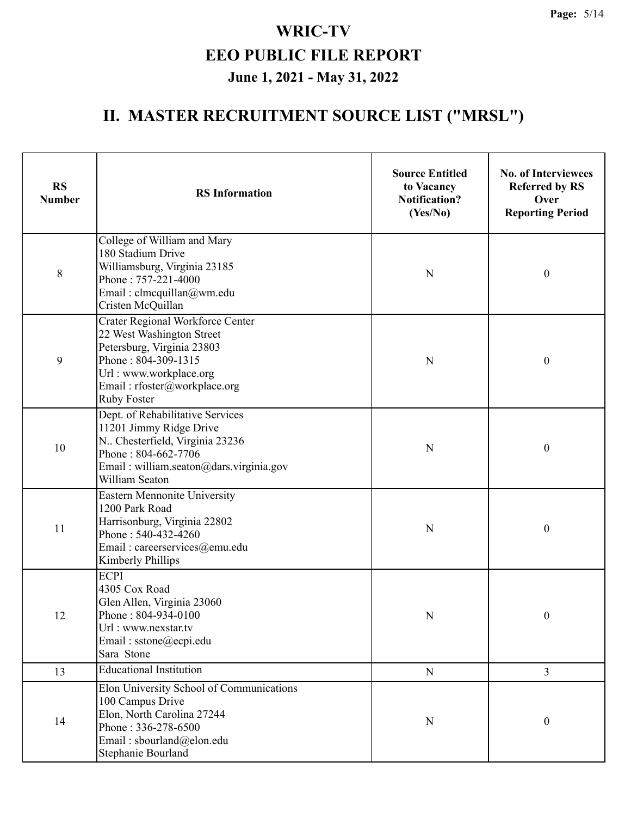| <b>RS</b><br><b>Number</b> | <b>RS</b> Information                                                                                                                                                                              | <b>Source Entitled</b><br>to Vacancy<br><b>Notification?</b><br>(Yes/No) | <b>No. of Interviewees</b><br><b>Referred by RS</b><br>Over<br><b>Reporting Period</b> |  |
|----------------------------|----------------------------------------------------------------------------------------------------------------------------------------------------------------------------------------------------|--------------------------------------------------------------------------|----------------------------------------------------------------------------------------|--|
| $8\,$                      | College of William and Mary<br>180 Stadium Drive<br>Williamsburg, Virginia 23185<br>Phone: 757-221-4000<br>Email: clmcquillan@wm.edu<br>Cristen McQuillan                                          | N                                                                        | $\boldsymbol{0}$                                                                       |  |
| 9                          | Crater Regional Workforce Center<br>22 West Washington Street<br>Petersburg, Virginia 23803<br>Phone: 804-309-1315<br>Url: www.workplace.org<br>Email: rfoster@workplace.org<br><b>Ruby Foster</b> | N                                                                        | $\boldsymbol{0}$                                                                       |  |
| 10                         | Dept. of Rehabilitative Services<br>11201 Jimmy Ridge Drive<br>N Chesterfield, Virginia 23236<br>Phone: 804-662-7706<br>Email: william.seaton@dars.virginia.gov<br>William Seaton                  | N                                                                        | $\boldsymbol{0}$                                                                       |  |
| 11                         | Eastern Mennonite University<br>1200 Park Road<br>Harrisonburg, Virginia 22802<br>Phone: 540-432-4260<br>Email: careerservices@emu.edu<br>Kimberly Phillips                                        | N                                                                        | $\boldsymbol{0}$                                                                       |  |
| 12                         | <b>ECPI</b><br>4305 Cox Road<br>Glen Allen, Virginia 23060<br>Phone: 804-934-0100<br>Url: www.nexstar.tv<br>Email: sstone@ecpi.edu<br>Sara Stone                                                   | N                                                                        | $\boldsymbol{0}$                                                                       |  |
| 13                         | <b>Educational Institution</b>                                                                                                                                                                     | ${\bf N}$                                                                | $\overline{3}$                                                                         |  |
| 14                         | Elon University School of Communications<br>100 Campus Drive<br>Elon, North Carolina 27244<br>Phone: 336-278-6500<br>Email: sbourland@elon.edu<br>Stephanie Bourland                               | ${\bf N}$                                                                | $\boldsymbol{0}$                                                                       |  |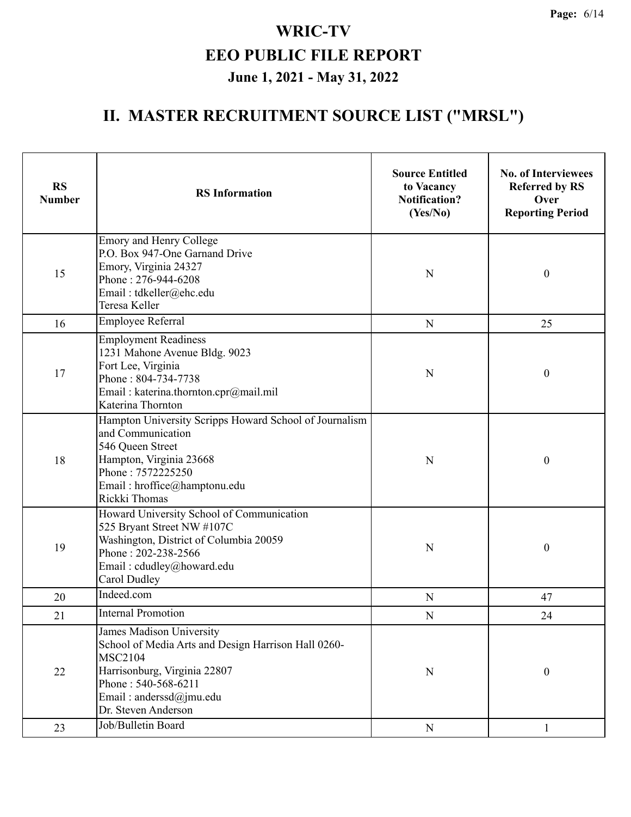| <b>RS</b><br><b>Number</b> | <b>RS</b> Information                                                                                                                                                                                      | <b>Source Entitled</b><br>to Vacancy<br><b>Notification?</b><br>(Yes/No) | <b>No. of Interviewees</b><br><b>Referred by RS</b><br>Over<br><b>Reporting Period</b> |
|----------------------------|------------------------------------------------------------------------------------------------------------------------------------------------------------------------------------------------------------|--------------------------------------------------------------------------|----------------------------------------------------------------------------------------|
| 15                         | Emory and Henry College<br>P.O. Box 947-One Garnand Drive<br>Emory, Virginia 24327<br>Phone: 276-944-6208<br>Email: tdkeller@ehc.edu<br>Teresa Keller                                                      | $\mathbf N$                                                              | $\boldsymbol{0}$                                                                       |
| 16                         | Employee Referral                                                                                                                                                                                          | ${\bf N}$                                                                | 25                                                                                     |
| 17                         | <b>Employment Readiness</b><br>1231 Mahone Avenue Bldg. 9023<br>Fort Lee, Virginia<br>Phone: 804-734-7738<br>Email: katerina.thornton.cpr@mail.mil<br>Katerina Thornton                                    | $\mathbf N$                                                              | $\boldsymbol{0}$                                                                       |
| 18                         | Hampton University Scripps Howard School of Journalism<br>and Communication<br>546 Queen Street<br>Hampton, Virginia 23668<br>Phone: 7572225250<br>Email: hroffice@hamptonu.edu<br>Rickki Thomas           | N                                                                        | $\boldsymbol{0}$                                                                       |
| 19                         | Howard University School of Communication<br>525 Bryant Street NW #107C<br>Washington, District of Columbia 20059<br>Phone: 202-238-2566<br>Email: cdudley@howard.edu<br>Carol Dudley                      | N                                                                        | $\boldsymbol{0}$                                                                       |
| 20                         | Indeed.com                                                                                                                                                                                                 | $\mathbf N$                                                              | 47                                                                                     |
| 21                         | <b>Internal Promotion</b>                                                                                                                                                                                  | N                                                                        | 24                                                                                     |
| $22\,$                     | James Madison University<br>School of Media Arts and Design Harrison Hall 0260-<br><b>MSC2104</b><br>Harrisonburg, Virginia 22807<br>Phone: 540-568-6211<br>Email: anderssd@jmu.edu<br>Dr. Steven Anderson | $\mathbf N$                                                              | $\boldsymbol{0}$                                                                       |
| 23                         | Job/Bulletin Board                                                                                                                                                                                         | ${\bf N}$                                                                | $\mathbf{1}$                                                                           |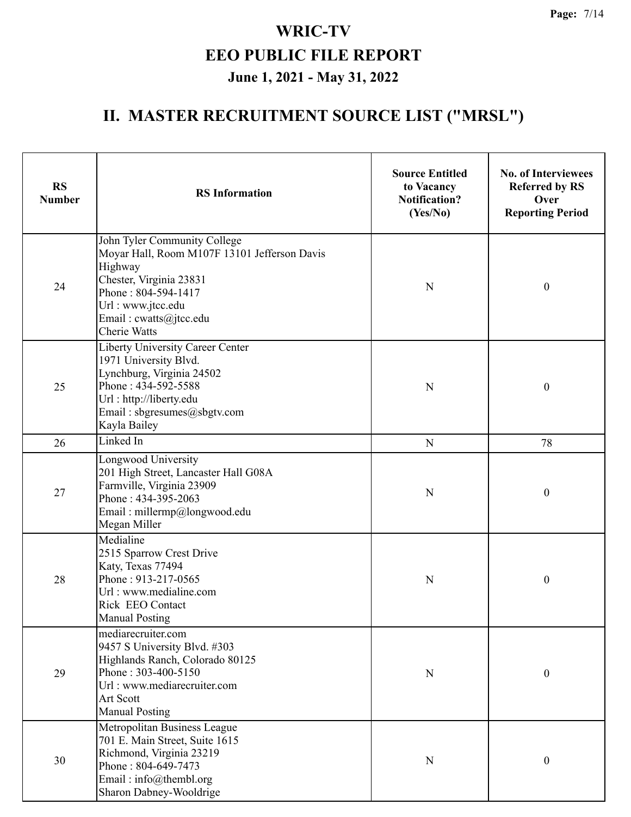| <b>RS</b><br><b>Number</b> | <b>RS</b> Information                                                                                                                                                                                           | <b>Source Entitled</b><br>to Vacancy<br><b>Notification?</b><br>(Yes/No) | <b>No. of Interviewees</b><br><b>Referred by RS</b><br>Over<br><b>Reporting Period</b> |
|----------------------------|-----------------------------------------------------------------------------------------------------------------------------------------------------------------------------------------------------------------|--------------------------------------------------------------------------|----------------------------------------------------------------------------------------|
| 24                         | John Tyler Community College<br>Moyar Hall, Room M107F 13101 Jefferson Davis<br>Highway<br>Chester, Virginia 23831<br>Phone: 804-594-1417<br>Url: www.jtcc.edu<br>Email: cwatts@jtcc.edu<br><b>Cherie Watts</b> | $\mathbf N$                                                              | $\boldsymbol{0}$                                                                       |
| 25                         | <b>Liberty University Career Center</b><br>1971 University Blvd.<br>Lynchburg, Virginia 24502<br>Phone: 434-592-5588<br>Url: http://liberty.edu<br>Email: sbgresumes@sbgtv.com<br>Kayla Bailey                  | $\mathbf N$                                                              | $\boldsymbol{0}$                                                                       |
| 26                         | Linked In                                                                                                                                                                                                       | $\mathbf N$                                                              | 78                                                                                     |
| 27                         | Longwood University<br>201 High Street, Lancaster Hall G08A<br>Farmville, Virginia 23909<br>Phone: 434-395-2063<br>Email: millermp@longwood.edu<br>Megan Miller                                                 | $\mathbf N$                                                              | $\boldsymbol{0}$                                                                       |
| 28                         | Medialine<br>2515 Sparrow Crest Drive<br>Katy, Texas 77494<br>Phone: 913-217-0565<br>Url: www.medialine.com<br>Rick EEO Contact<br><b>Manual Posting</b>                                                        | N                                                                        | $\boldsymbol{0}$                                                                       |
| 29                         | mediarecruiter.com<br>9457 S University Blvd. #303<br>Highlands Ranch, Colorado 80125<br>Phone: 303-400-5150<br>Url: www.mediarecruiter.com<br>Art Scott<br><b>Manual Posting</b>                               | N                                                                        | $\boldsymbol{0}$                                                                       |
| 30                         | Metropolitan Business League<br>701 E. Main Street, Suite 1615<br>Richmond, Virginia 23219<br>Phone: 804-649-7473<br>Email: $info@$ thembl.org<br>Sharon Dabney-Wooldrige                                       | N                                                                        | $\boldsymbol{0}$                                                                       |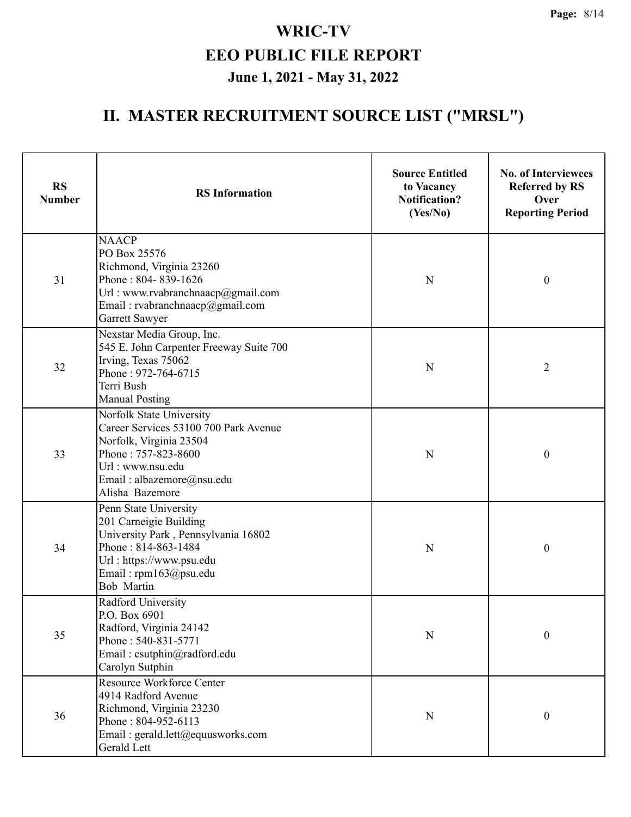| <b>RS</b><br><b>Number</b> | <b>Source Entitled</b><br>to Vacancy<br><b>RS</b> Information<br><b>Notification?</b><br>(Yes/No)                                                                                       |             | <b>No. of Interviewees</b><br><b>Referred by RS</b><br>Over<br><b>Reporting Period</b> |  |
|----------------------------|-----------------------------------------------------------------------------------------------------------------------------------------------------------------------------------------|-------------|----------------------------------------------------------------------------------------|--|
| 31                         | <b>NAACP</b><br>PO Box 25576<br>Richmond, Virginia 23260<br>Phone: 804-839-1626<br>Url: www.rvabranchnaacp@gmail.com<br>Email: rvabranchnaacp@gmail.com<br>Garrett Sawyer               | N           | $\boldsymbol{0}$                                                                       |  |
| 32                         | Nexstar Media Group, Inc.<br>545 E. John Carpenter Freeway Suite 700<br>Irving, Texas 75062<br>Phone: 972-764-6715<br>Terri Bush<br><b>Manual Posting</b>                               | N           | $\overline{2}$                                                                         |  |
| 33                         | Norfolk State University<br>Career Services 53100 700 Park Avenue<br>Norfolk, Virginia 23504<br>Phone: 757-823-8600<br>Url: www.nsu.edu<br>Email: albazemore@nsu.edu<br>Alisha Bazemore | N           | $\boldsymbol{0}$                                                                       |  |
| 34                         | Penn State University<br>201 Carneigie Building<br>University Park, Pennsylvania 16802<br>Phone: 814-863-1484<br>Url: https://www.psu.edu<br>Email: rpm163@psu.edu<br><b>Bob Martin</b> | $\mathbf N$ | $\boldsymbol{0}$                                                                       |  |
| 35                         | Radford University<br>P.O. Box 6901<br>Radford, Virginia 24142<br>Phone: 540-831-5771<br>Email: csutphin@radford.edu<br>Carolyn Sutphin                                                 | ${\bf N}$   | $\boldsymbol{0}$                                                                       |  |
| 36                         | Resource Workforce Center<br>4914 Radford Avenue<br>Richmond, Virginia 23230<br>Phone: 804-952-6113<br>Email: gerald.lett@equusworks.com<br>Gerald Lett                                 | ${\bf N}$   | $\boldsymbol{0}$                                                                       |  |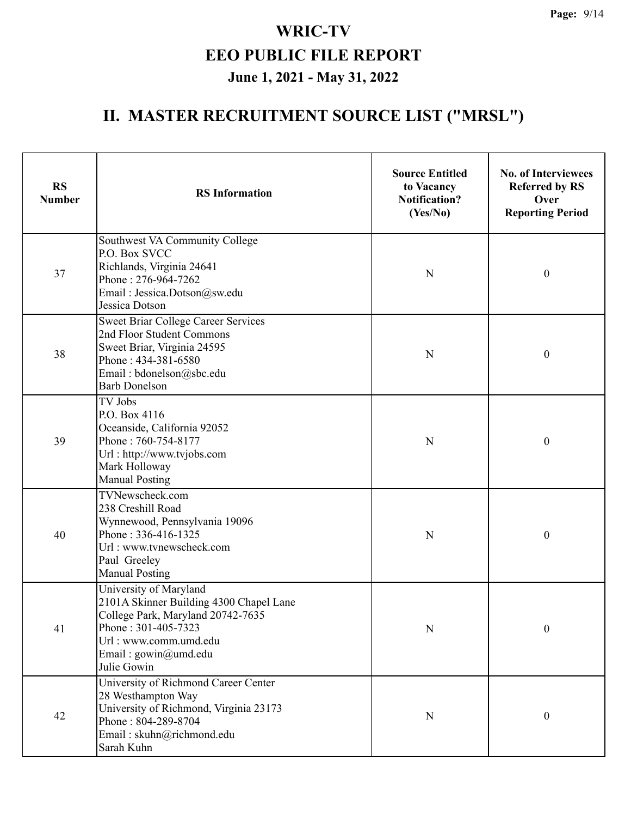| <b>RS</b><br><b>Number</b> | <b>RS</b> Information                                                                                                                                                                         | <b>Source Entitled</b><br>to Vacancy<br><b>Notification?</b><br>(Yes/No) | <b>No. of Interviewees</b><br><b>Referred by RS</b><br>Over<br><b>Reporting Period</b> |  |
|----------------------------|-----------------------------------------------------------------------------------------------------------------------------------------------------------------------------------------------|--------------------------------------------------------------------------|----------------------------------------------------------------------------------------|--|
| 37                         | Southwest VA Community College<br>P.O. Box SVCC<br>Richlands, Virginia 24641<br>Phone: 276-964-7262<br>Email: Jessica.Dotson@sw.edu<br>Jessica Dotson                                         | N                                                                        | $\boldsymbol{0}$                                                                       |  |
| 38                         | Sweet Briar College Career Services<br>2nd Floor Student Commons<br>Sweet Briar, Virginia 24595<br>Phone: 434-381-6580<br>Email: bdonelson@sbc.edu<br><b>Barb Donelson</b>                    | N                                                                        | $\boldsymbol{0}$                                                                       |  |
| 39                         | TV Jobs<br>P.O. Box 4116<br>Oceanside, California 92052<br>Phone: 760-754-8177<br>Url: http://www.tvjobs.com<br>Mark Holloway<br><b>Manual Posting</b>                                        | N                                                                        | $\boldsymbol{0}$                                                                       |  |
| 40                         | TVNewscheck.com<br>238 Creshill Road<br>Wynnewood, Pennsylvania 19096<br>Phone: 336-416-1325<br>Url: www.tvnewscheck.com<br>Paul Greeley<br><b>Manual Posting</b>                             | N                                                                        | $\boldsymbol{0}$                                                                       |  |
| 41                         | University of Maryland<br>2101A Skinner Building 4300 Chapel Lane<br>College Park, Maryland 20742-7635<br>Phone: 301-405-7323<br>Url: www.comm.umd.edu<br>Email: gowin@umd.edu<br>Julie Gowin | $\mathbf N$                                                              | $\boldsymbol{0}$                                                                       |  |
| 42                         | University of Richmond Career Center<br>28 Westhampton Way<br>University of Richmond, Virginia 23173<br>Phone: 804-289-8704<br>Email: skuhn@richmond.edu<br>Sarah Kuhn                        | ${\bf N}$                                                                | $\boldsymbol{0}$                                                                       |  |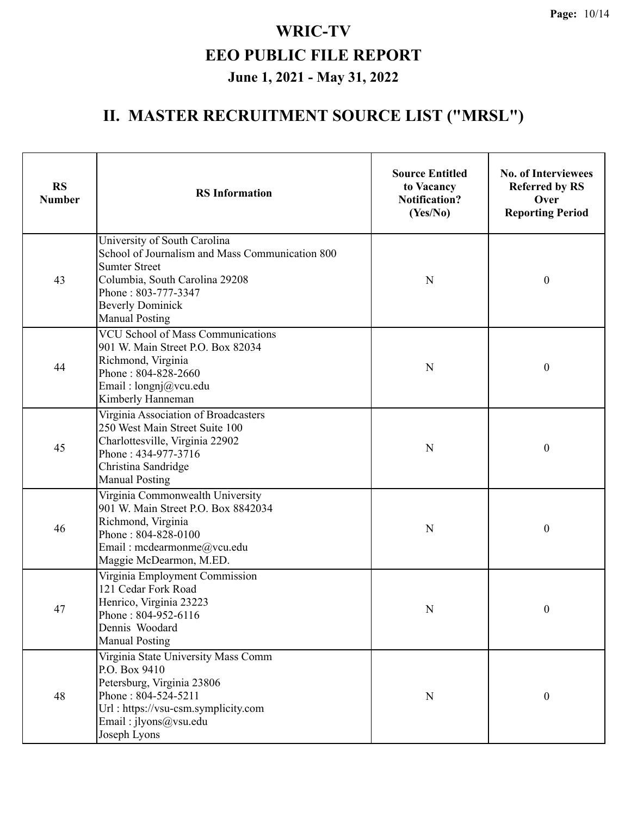| <b>RS</b><br><b>Number</b> | <b>RS</b> Information                                                                                                                                                                                                | <b>Source Entitled</b><br>to Vacancy<br><b>Notification?</b><br>(Yes/No) | <b>No. of Interviewees</b><br><b>Referred by RS</b><br>Over<br><b>Reporting Period</b> |
|----------------------------|----------------------------------------------------------------------------------------------------------------------------------------------------------------------------------------------------------------------|--------------------------------------------------------------------------|----------------------------------------------------------------------------------------|
| 43                         | University of South Carolina<br>School of Journalism and Mass Communication 800<br><b>Sumter Street</b><br>Columbia, South Carolina 29208<br>Phone: 803-777-3347<br><b>Beverly Dominick</b><br><b>Manual Posting</b> | N                                                                        | $\boldsymbol{0}$                                                                       |
| 44                         | <b>VCU School of Mass Communications</b><br>901 W. Main Street P.O. Box 82034<br>Richmond, Virginia<br>Phone: 804-828-2660<br>Email: longnj@vcu.edu<br>Kimberly Hanneman                                             | N                                                                        | $\boldsymbol{0}$                                                                       |
| 45                         | Virginia Association of Broadcasters<br>250 West Main Street Suite 100<br>Charlottesville, Virginia 22902<br>Phone: 434-977-3716<br>Christina Sandridge<br><b>Manual Posting</b>                                     | N                                                                        | $\boldsymbol{0}$                                                                       |
| 46                         | Virginia Commonwealth University<br>901 W. Main Street P.O. Box 8842034<br>Richmond, Virginia<br>Phone: 804-828-0100<br>Email: mcdearmonme@vcu.edu<br>Maggie McDearmon, M.ED.                                        | N                                                                        | $\boldsymbol{0}$                                                                       |
| 47                         | Virginia Employment Commission<br>121 Cedar Fork Road<br>Henrico, Virginia 23223<br>Phone: 804-952-6116<br>Dennis Woodard<br><b>Manual Posting</b>                                                                   | $\mathbf N$                                                              | $\boldsymbol{0}$                                                                       |
| 48                         | Virginia State University Mass Comm<br>P.O. Box 9410<br>Petersburg, Virginia 23806<br>Phone: 804-524-5211<br>Url: https://vsu-csm.symplicity.com<br>Email: jlyons@vsu.edu<br>Joseph Lyons                            | N                                                                        | $\boldsymbol{0}$                                                                       |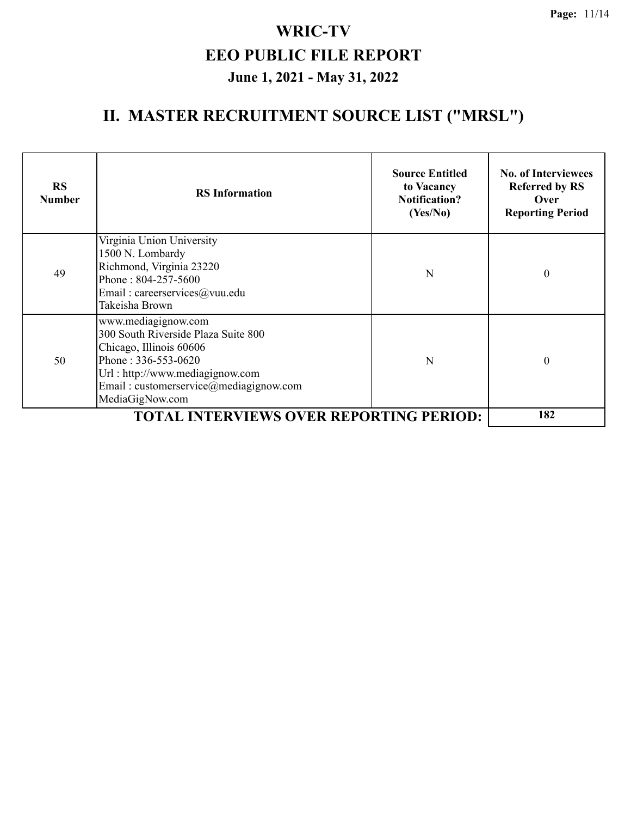| <b>RS</b><br><b>Number</b> | <b>RS</b> Information                                                                                                                                                                                              | <b>Source Entitled</b><br>to Vacancy<br><b>Notification?</b><br>(Yes/No) | <b>No. of Interviewees</b><br><b>Referred by RS</b><br>Over<br><b>Reporting Period</b> |
|----------------------------|--------------------------------------------------------------------------------------------------------------------------------------------------------------------------------------------------------------------|--------------------------------------------------------------------------|----------------------------------------------------------------------------------------|
| 49                         | Virginia Union University<br>1500 N. Lombardy<br>Richmond, Virginia 23220<br>Phone: 804-257-5600<br>Email: careerservices@vuu.edu<br>Takeisha Brown                                                                | N                                                                        | $\theta$                                                                               |
| 50                         | www.mediagignow.com<br>300 South Riverside Plaza Suite 800<br>Chicago, Illinois 60606<br>Phone: $336 - 553 - 0620$<br>Url: http://www.mediagignow.com<br>Email: customerservice@mediagignow.com<br>MediaGigNow.com | N                                                                        | $\theta$                                                                               |
|                            | <b>TOTAL INTERVIEWS OVER REPORTING PERIOD:</b>                                                                                                                                                                     |                                                                          | 182                                                                                    |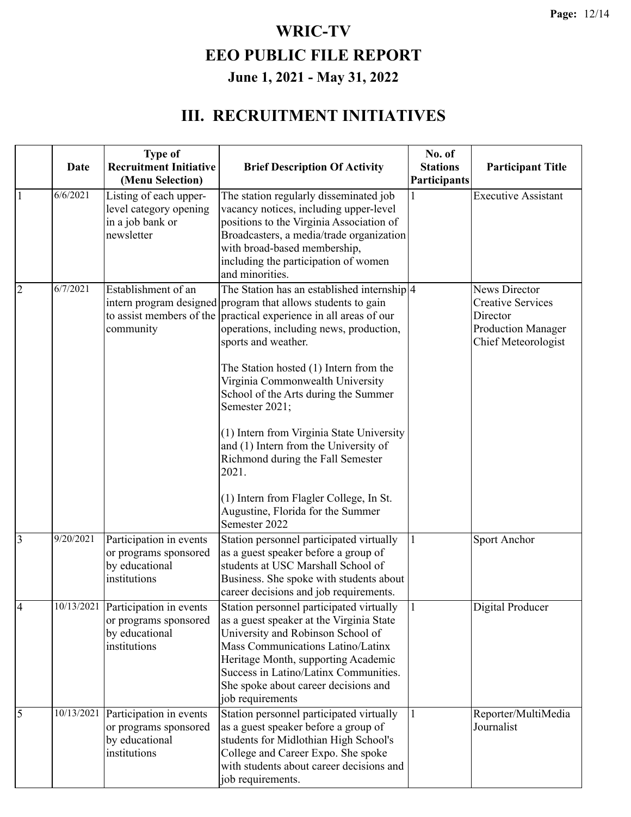#### **III. RECRUITMENT INITIATIVES**

|                | <b>Date</b> | <b>Type of</b><br><b>Recruitment Initiative</b><br>(Menu Selection)                             | <b>Brief Description Of Activity</b>                                                                                                                                                                                                                                                                                                                                                                                                                                                                                                                                                                                                | No. of<br><b>Stations</b><br>Participants | <b>Participant Title</b>                                                                                         |
|----------------|-------------|-------------------------------------------------------------------------------------------------|-------------------------------------------------------------------------------------------------------------------------------------------------------------------------------------------------------------------------------------------------------------------------------------------------------------------------------------------------------------------------------------------------------------------------------------------------------------------------------------------------------------------------------------------------------------------------------------------------------------------------------------|-------------------------------------------|------------------------------------------------------------------------------------------------------------------|
| 1              | 6/6/2021    | Listing of each upper-<br>level category opening<br>in a job bank or<br>newsletter              | The station regularly disseminated job<br>vacancy notices, including upper-level<br>positions to the Virginia Association of<br>Broadcasters, a media/trade organization<br>with broad-based membership,<br>including the participation of women<br>and minorities.                                                                                                                                                                                                                                                                                                                                                                 |                                           | <b>Executive Assistant</b>                                                                                       |
| $\overline{2}$ | 6/7/2021    | Establishment of an<br>community                                                                | The Station has an established internship $ 4 $<br>intern program designed program that allows students to gain<br>to assist members of the practical experience in all areas of our<br>operations, including news, production,<br>sports and weather.<br>The Station hosted (1) Intern from the<br>Virginia Commonwealth University<br>School of the Arts during the Summer<br>Semester 2021;<br>(1) Intern from Virginia State University<br>and (1) Intern from the University of<br>Richmond during the Fall Semester<br>2021.<br>(1) Intern from Flagler College, In St.<br>Augustine, Florida for the Summer<br>Semester 2022 |                                           | <b>News Director</b><br><b>Creative Services</b><br>Director<br><b>Production Manager</b><br>Chief Meteorologist |
| 3              | 9/20/2021   | Participation in events<br>or programs sponsored<br>by educational<br>institutions              | Station personnel participated virtually<br>as a guest speaker before a group of<br>students at USC Marshall School of<br>Business. She spoke with students about<br>career decisions and job requirements.                                                                                                                                                                                                                                                                                                                                                                                                                         |                                           | Sport Anchor                                                                                                     |
| $\overline{4}$ |             | $10/13/2021$ Participation in events<br>or programs sponsored<br>by educational<br>institutions | Station personnel participated virtually<br>as a guest speaker at the Virginia State<br>University and Robinson School of<br>Mass Communications Latino/Latinx<br>Heritage Month, supporting Academic<br>Success in Latino/Latinx Communities.<br>She spoke about career decisions and<br>job requirements                                                                                                                                                                                                                                                                                                                          | 11                                        | Digital Producer                                                                                                 |
| 5              | 10/13/2021  | Participation in events<br>or programs sponsored<br>by educational<br>institutions              | Station personnel participated virtually<br>as a guest speaker before a group of<br>students for Midlothian High School's<br>College and Career Expo. She spoke<br>with students about career decisions and<br>job requirements.                                                                                                                                                                                                                                                                                                                                                                                                    |                                           | Reporter/MultiMedia<br>Journalist                                                                                |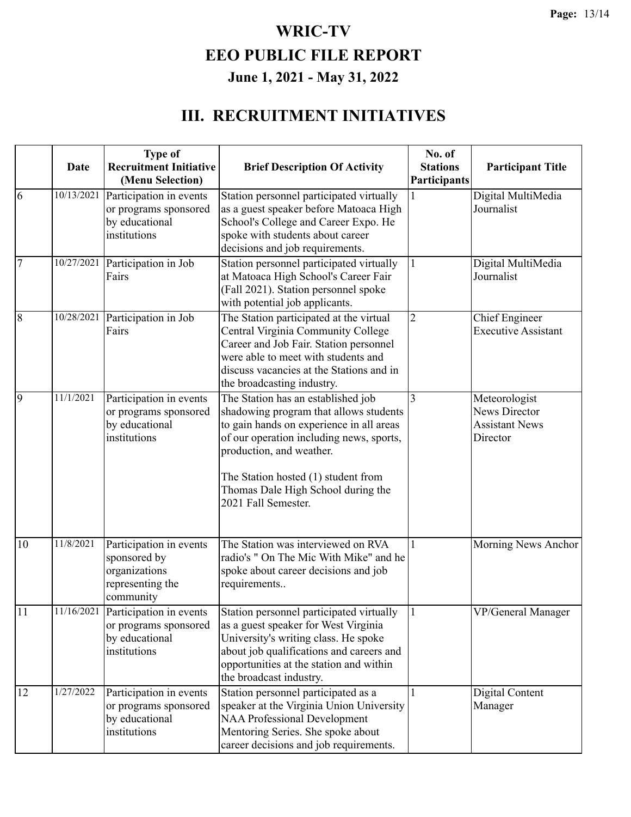#### **III. RECRUITMENT INITIATIVES**

|                | Date       | <b>Type of</b><br><b>Recruitment Initiative</b><br>(Menu Selection)                             | <b>Brief Description Of Activity</b>                                                                                                                                                                                                                                                                 | No. of<br><b>Stations</b><br>Participants | <b>Participant Title</b>                                                   |
|----------------|------------|-------------------------------------------------------------------------------------------------|------------------------------------------------------------------------------------------------------------------------------------------------------------------------------------------------------------------------------------------------------------------------------------------------------|-------------------------------------------|----------------------------------------------------------------------------|
| 6              | 10/13/2021 | Participation in events<br>or programs sponsored<br>by educational<br>institutions              | Station personnel participated virtually<br>as a guest speaker before Matoaca High<br>School's College and Career Expo. He<br>spoke with students about career<br>decisions and job requirements.                                                                                                    |                                           | Digital MultiMedia<br>Journalist                                           |
| $\overline{7}$ | 10/27/2021 | Participation in Job<br>Fairs                                                                   | Station personnel participated virtually<br>at Matoaca High School's Career Fair<br>(Fall 2021). Station personnel spoke<br>with potential job applicants.                                                                                                                                           |                                           | Digital MultiMedia<br>Journalist                                           |
| $\overline{8}$ | 10/28/2021 | Participation in Job<br>Fairs                                                                   | The Station participated at the virtual<br>Central Virginia Community College<br>Career and Job Fair. Station personnel<br>were able to meet with students and<br>discuss vacancies at the Stations and in<br>the broadcasting industry.                                                             | $\overline{2}$                            | <b>Chief Engineer</b><br><b>Executive Assistant</b>                        |
| 9              | 11/1/2021  | Participation in events<br>or programs sponsored<br>by educational<br>institutions              | The Station has an established job<br>shadowing program that allows students<br>to gain hands on experience in all areas<br>of our operation including news, sports,<br>production, and weather.<br>The Station hosted (1) student from<br>Thomas Dale High School during the<br>2021 Fall Semester. | $\overline{3}$                            | Meteorologist<br><b>News Director</b><br><b>Assistant News</b><br>Director |
| 10             | 11/8/2021  | Participation in events<br>sponsored by<br>organizations<br>representing the<br>community       | The Station was interviewed on RVA<br>radio's " On The Mic With Mike" and he<br>spoke about career decisions and job<br>requirements                                                                                                                                                                 |                                           | Morning News Anchor                                                        |
| $\pm 1$        |            | $11/16/2021$ Participation in events<br>or programs sponsored<br>by educational<br>institutions | Station personnel participated virtually<br>as a guest speaker for West Virginia<br>University's writing class. He spoke<br>about job qualifications and careers and<br>opportunities at the station and within<br>the broadcast industry.                                                           |                                           | VP/General Manager                                                         |
| 12             | 1/27/2022  | Participation in events<br>or programs sponsored<br>by educational<br>institutions              | Station personnel participated as a<br>speaker at the Virginia Union University<br><b>NAA Professional Development</b><br>Mentoring Series. She spoke about<br>career decisions and job requirements.                                                                                                |                                           | Digital Content<br>Manager                                                 |